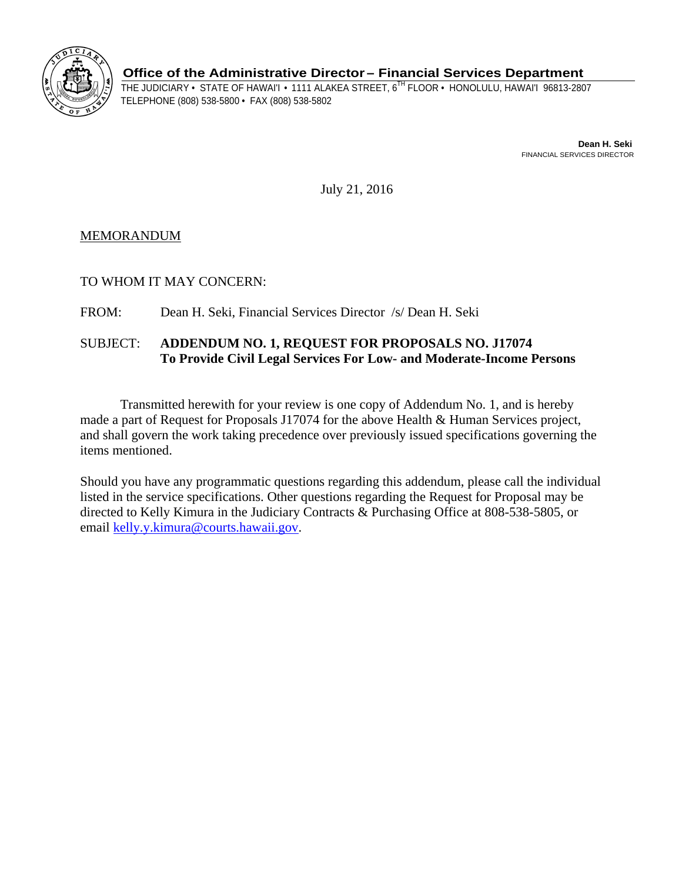

**Office of the Administrative Director– Financial Services Department** 

THE JUDICIARY • STATE OF HAWAI'I • 1111 ALAKEA STREET, 6<sup>TH</sup> FLOOR • HONOLULU, HAWAI'I 96813-2807<br>TELEPHONE (808) 538-5800 • FAX (808) 538-5802

**Dean H. Seki**  FINANCIAL SERVICES DIRECTOR

July 21, 2016

MEMORANDUM

TO WHOM IT MAY CONCERN:

FROM: Dean H. Seki, Financial Services Director /s/ Dean H. Seki

# SUBJECT: **ADDENDUM NO. 1, REQUEST FOR PROPOSALS NO. J17074 To Provide Civil Legal Services For Low- and Moderate-Income Persons**

Transmitted herewith for your review is one copy of Addendum No. 1, and is hereby made a part of Request for Proposals J17074 for the above Health & Human Services project, and shall govern the work taking precedence over previously issued specifications governing the items mentioned.

Should you have any programmatic questions regarding this addendum, please call the individual listed in the service specifications. Other questions regarding the Request for Proposal may be directed to Kelly Kimura in the Judiciary Contracts & Purchasing Office at 808-538-5805, or email kelly.y.kimura@courts.hawaii.gov.